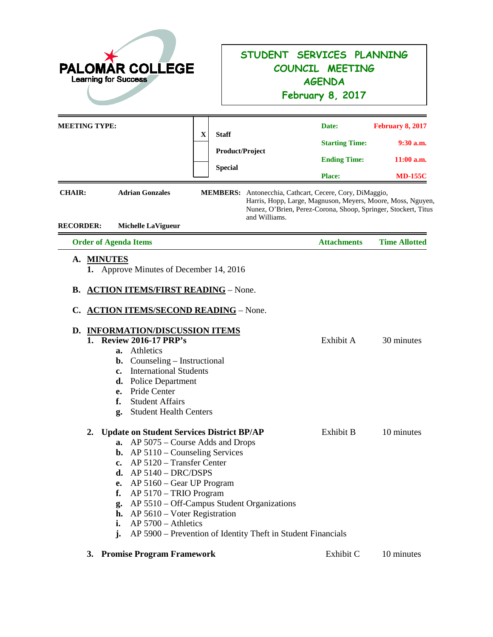| <b>PALOMAR COLLEGE</b><br><b>Learning for Success</b>    |                                                                                                                                                                                                                                                                                                                                              |   | STUDENT SERVICES PLANNING<br>COUNCIL MEETING<br><b>AGENDA</b><br>February 8, 2017                          |                                                                                                                                                                                          |                                                                   |
|----------------------------------------------------------|----------------------------------------------------------------------------------------------------------------------------------------------------------------------------------------------------------------------------------------------------------------------------------------------------------------------------------------------|---|------------------------------------------------------------------------------------------------------------|------------------------------------------------------------------------------------------------------------------------------------------------------------------------------------------|-------------------------------------------------------------------|
| <b>MEETING TYPE:</b>                                     |                                                                                                                                                                                                                                                                                                                                              | X | <b>Staff</b><br><b>Product/Project</b><br><b>Special</b>                                                   | Date:<br><b>Starting Time:</b><br><b>Ending Time:</b><br><b>Place:</b>                                                                                                                   | February 8, 2017<br>$9:30$ a.m.<br>$11:00$ a.m.<br><b>MD-155C</b> |
| <b>CHAIR:</b><br><b>RECORDER:</b>                        | <b>Adrian Gonzales</b><br><b>Michelle LaVigueur</b>                                                                                                                                                                                                                                                                                          |   | and Williams.                                                                                              | MEMBERS: Antonecchia, Cathcart, Cecere, Cory, DiMaggio,<br>Harris, Hopp, Large, Magnuson, Meyers, Moore, Moss, Nguyen,<br>Nunez, O'Brien, Perez-Corona, Shoop, Springer, Stockert, Titus |                                                                   |
| <b>Order of Agenda Items</b>                             |                                                                                                                                                                                                                                                                                                                                              |   |                                                                                                            | <b>Attachments</b>                                                                                                                                                                       | <b>Time Allotted</b>                                              |
| В.<br>C.<br>1.<br>a.<br>b.<br>c.<br>d.<br>e.<br>f.<br>g. | <b>ACTION ITEMS/FIRST READING - None.</b><br><b>ACTION ITEMS/SECOND READING - None.</b><br>D. INFORMATION/DISCUSSION ITEMS<br><b>Review 2016-17 PRP's</b><br>Athletics<br>Counseling – Instructional<br><b>International Students</b><br><b>Police Department</b><br>Pride Center<br><b>Student Affairs</b><br><b>Student Health Centers</b> |   |                                                                                                            | Exhibit A                                                                                                                                                                                | 30 minutes                                                        |
| 2.<br>a.<br>f.<br>g.<br>i.<br>j.                         | <b>Update on Student Services District BP/AP</b><br>AP 5075 – Course Adds and Drops<br><b>b.</b> AP $5110$ – Counseling Services<br>c. AP $5120$ – Transfer Center<br>d. $AP 5140 - DRC/DSPS$<br>e. AP $5160 - Gear UP$ Program<br>AP 5170 - TRIO Program<br>h. AP 5610 – Voter Registration<br>$AP 5700 - A$ thletics                       |   | AP 5510 - Off-Campus Student Organizations<br>AP 5900 – Prevention of Identity Theft in Student Financials | Exhibit B                                                                                                                                                                                | 10 minutes                                                        |